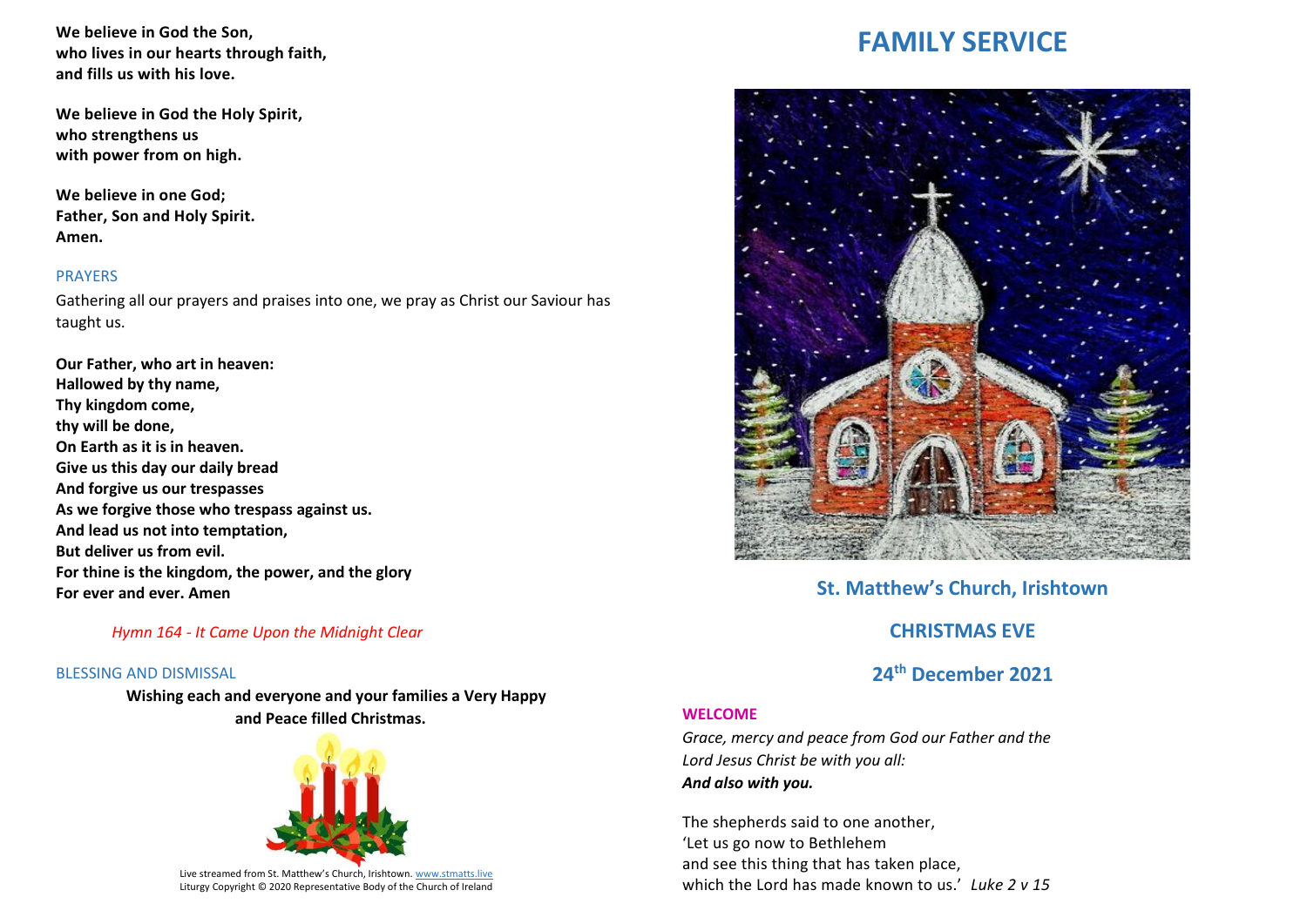**We believe in God the Son, who lives in our hearts through faith, and fills us with his love.**

**We believe in God the Holy Spirit, who strengthens us with power from on high.**

**We believe in one God; Father, Son and Holy Spirit. Amen.**

### PRAYERS

Gathering all our prayers and praises into one, we pray as Christ our Saviour has taught us.

**Our Father, who art in heaven: Hallowed by thy name, Thy kingdom come, thy will be done, On Earth as it is in heaven. Give us this day our daily bread And forgive us our trespasses As we forgive those who trespass against us. And lead us not into temptation, But deliver us from evil. For thine is the kingdom, the power, and the glory For ever and ever. Amen**

### *Hymn 164 - It Came Upon the Midnight Clear*

#### BLESSING AND DISMISSAL

**Wishing each and everyone and your families a Very Happy and Peace filled Christmas.** 



Live streamed from St. Matthew's Church, Irishtown. [www.stmatts.live](about:blank) Liturgy Copyright © 2020 Representative Body of the Church of Ireland

# **FAMILY SERVICE**



# **St. Matthew's Church, Irishtown**

# **CHRISTMAS EVE**

# **24th December 2021**

#### **WELCOME**

*Grace, mercy and peace from God our Father and the Lord Jesus Christ be with you all: And also with you.*

The shepherds said to one another, 'Let us go now to Bethlehem and see this thing that has taken place, which the Lord has made known to us.' *Luke 2 v 15*